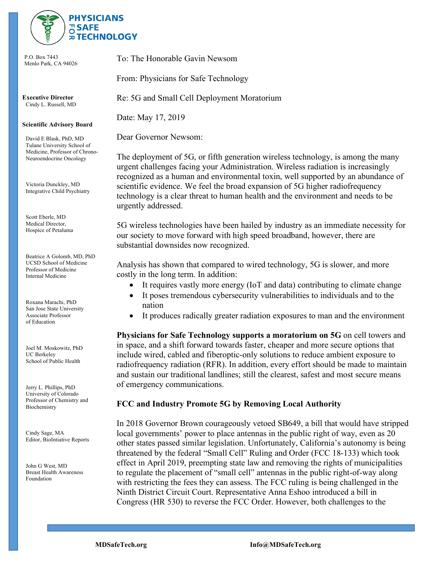

 P.O. Box 7443 Menlo Park, CA 94026

 **Executive Director** Cindy L. Russell, MD

#### **Scientific Advisory Board**

 David E Blask, PhD, MD Tulane University School of Medicine, Professor of Chrono- Neuroendocrine Oncology

 Victoria Dunckley, MD Integrative Child Psychiatry

 Scott Eberle, MD Medical Director, Hospice of Petaluma

 Beatrice A Golomb, MD, PhD UCSD School of Medicine Professor of Medicine Internal Medicine

 Roxana Marachi, PhD San Jose State University Associate Professor of Education

 Joel M. Moskowitz, PhD UC Berkeley School of Public Health

 Jerry L. Phillips, PhD University of Colorado Professor of Chemistry and Biochemistry

 Cindy Sage, MA Editor, BioIntiative Reports

 John G West, MD Breast Health Awareness Foundation

To: The Honorable Gavin Newsom

From: Physicians for Safe Technology

Re: 5G and Small Cell Deployment Moratorium

Date: May 17, 2019

Dear Governor Newsom:

The deployment of 5G, or fifth generation wireless technology, is among the many urgent challenges facing your Administration. Wireless radiation is increasingly recognized as a human and environmental toxin, well supported by an abundance of scientific evidence. We feel the broad expansion of 5G higher radiofrequency technology is a clear threat to human health and the environment and needs to be urgently addressed.

5G wireless technologies have been hailed by industry as an immediate necessity for our society to move forward with high speed broadband, however, there are substantial downsides now recognized.

Analysis has shown that compared to wired technology, 5G is slower, and more costly in the long term. In addition:

- It requires vastly more energy (IoT and data) contributing to climate change
- It poses tremendous cybersecurity vulnerabilities to individuals and to the nation
- It produces radically greater radiation exposures to man and the environment

**Physicians for Safe Technology supports a moratorium on 5G** on cell towers and in space, and a shift forward towards faster, cheaper and more secure options that include wired, cabled and fiberoptic-only solutions to reduce ambient exposure to radiofrequency radiation (RFR). In addition, every effort should be made to maintain and sustain our traditional landlines; still the clearest, safest and most secure means of emergency communications.

#### **FCC and Industry Promote 5G by Removing Local Authority**

In 2018 Governor Brown courageously vetoed SB649, a bill that would have stripped local governments' power to place antennas in the public right of way, even as 20 other states passed similar legislation. Unfortunately, California's autonomy is being threatened by the federal "Small Cell" Ruling and Order (FCC 18-133) which took effect in April 2019, preempting state law and removing the rights of municipalities to regulate the placement of "small cell" antennas in the public right-of-way along with restricting the fees they can assess. The FCC ruling is being challenged in the Ninth District Circuit Court. Representative Anna Eshoo introduced a bill in Congress (HR 530) to reverse the FCC Order. However, both challenges to the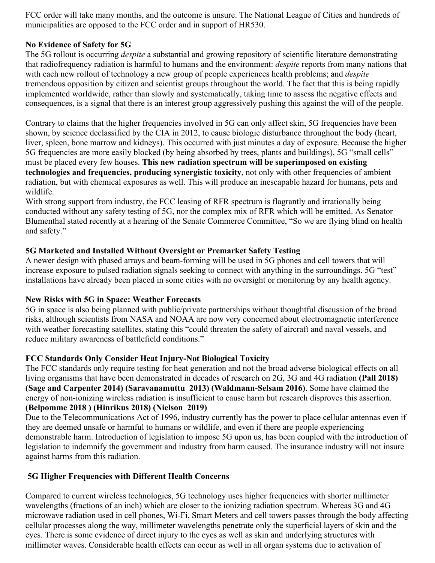FCC order will take many months, and the outcome is unsure. The National League of Cities and hundreds of municipalities are opposed to the FCC order and in support of HR530.

### **No Evidence of Safety for 5G**

The 5G rollout is occurring *despite* a substantial and growing repository of scientific literature demonstrating that radiofrequency radiation is harmful to humans and the environment: *despite* reports from many nations that with each new rollout of technology a new group of people experiences health problems; and *despite* tremendous opposition by citizen and scientist groups throughout the world. The fact that this is being rapidly implemented worldwide, rather than slowly and systematically, taking time to assess the negative effects and consequences, is a signal that there is an interest group aggressively pushing this against the will of the people.

Contrary to claims that the higher frequencies involved in 5G can only affect skin, 5G frequencies have been shown, by science declassified by the CIA in 2012, to cause biologic disturbance throughout the body (heart, liver, spleen, bone marrow and kidneys). This occurred with just minutes a day of exposure. Because the higher 5G frequencies are more easily blocked (by being absorbed by trees, plants and buildings), 5G "small cells" must be placed every few houses. **This new radiation spectrum will be superimposed on existing technologies and frequencies, producing synergistic toxicity**, not only with other frequencies of ambient radiation, but with chemical exposures as well. This will produce an inescapable hazard for humans, pets and wildlife.

With strong support from industry, the FCC leasing of RFR spectrum is flagrantly and irrationally being conducted without any safety testing of 5G, nor the complex mix of RFR which will be emitted. As Senator Blumenthal stated recently at a hearing of the Senate Commerce Committee, "So we are flying blind on health and safety."

# **5G Marketed and Installed Without Oversight or Premarket Safety Testing**

A newer design with phased arrays and beam-forming will be used in 5G phones and cell towers that will increase exposure to pulsed radiation signals seeking to connect with anything in the surroundings. 5G "test" installations have already been placed in some cities with no oversight or monitoring by any health agency.

#### **New Risks with 5G in Space: Weather Forecasts**

5G in space is also being planned with public/private partnerships without thoughtful discussion of the broad risks, although scientists from NASA and NOAA are now very concerned about electromagnetic interference with weather forecasting satellites, stating this "could threaten the safety of aircraft and naval vessels, and reduce military awareness of battlefield conditions."

# **FCC Standards Only Consider Heat Injury-Not Biological Toxicity**

The FCC standards only require testing for heat generation and not the broad adverse biological effects on all living organisms that have been demonstrated in decades of research on 2G, 3G and 4G radiation **(Pall 2018) (Sage and Carpenter 2014) (Saravanamuttu 2013) (Waldmann-Selsam 2016)**. Some have claimed the energy of non-ionizing wireless radiation is insufficient to cause harm but research disproves this assertion. **(Belpomme 2018 ) (Hinrikus 2018) (Nielson 2019)**

Due to the Telecommunications Act of 1996, industry currently has the power to place cellular antennas even if they are deemed unsafe or harmful to humans or wildlife, and even if there are people experiencing demonstrable harm. Introduction of legislation to impose 5G upon us, has been coupled with the introduction of legislation to indemnify the government and industry from harm caused. The insurance industry will not insure against harms from this radiation.

#### **5G Higher Frequencies with Different Health Concerns**

Compared to current wireless technologies, 5G technology uses higher frequencies with shorter millimeter wavelengths (fractions of an inch) which are closer to the ionizing radiation spectrum. Whereas 3G and 4G microwave radiation used in cell phones, Wi-Fi, Smart Meters and cell towers passes through the body affecting cellular processes along the way, millimeter wavelengths penetrate only the superficial layers of skin and the eyes. There is some evidence of direct injury to the eyes as well as skin and underlying structures with millimeter waves. Considerable health effects can occur as well in all organ systems due to activation of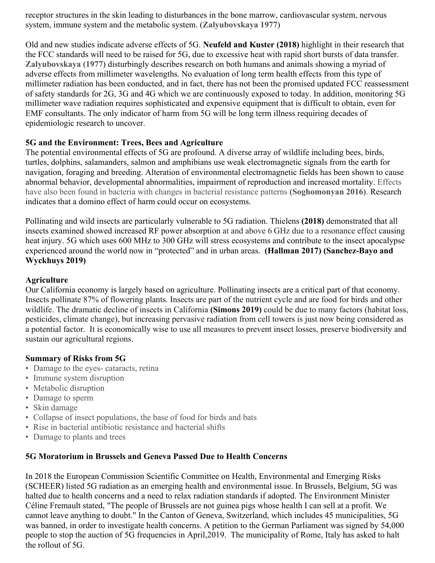receptor structures in the skin leading to disturbances in the bone marrow, cardiovascular system, nervous system, immune system and the metabolic system. (**Zalyubovskaya 1977**)

Old and new studies indicate adverse effects of 5G. **Neufeld and Kuster (2018)** highlight in their research that the FCC standards will need to be raised for 5G, due to excessive heat with rapid short bursts of data transfer. **Zalyubovskaya (1977**) disturbingly describes research on both humans and animals showing a myriad of adverse effects from millimeter wavelengths. No evaluation of long term health effects from this type of millimeter radiation has been conducted, and in fact, there has not been the promised updated FCC reassessment of safety standards for 2G, 3G and 4G which we are continuously exposed to today. In addition, monitoring 5G millimeter wave radiation requires sophisticated and expensive equipment that is difficult to obtain, even for EMF consultants. The only indicator of harm from 5G will be long term illness requiring decades of epidemiologic research to uncover.

### **5G and the Environment: Trees, Bees and Agriculture**

The potential environmental effects of 5G are profound. A diverse array of wildlife including bees, birds, turtles, dolphins, salamanders, salmon and amphibians use weak electromagnetic signals from the earth for navigation, foraging and breeding. Alteration of environmental electromagnetic fields has been shown to cause abnormal behavior, developmental abnormalities, impairment of reproduction and increased mortality. Effects have also been found in bacteria with changes in bacterial resistance patterns **(Soghomonyan 2016)**. Research indicates that a domino effect of harm could occur on ecosystems.

Pollinating and wild insects are particularly vulnerable to 5G radiation. Thielens **(2018)** demonstrated that all insects examined showed increased RF power absorption at and above 6 GHz due to a resonance effect causing heat injury. 5G which uses 600 MHz to 300 GHz will stress ecosystems and contribute to the insect apocalypse experienced around the world now in "protected" and in urban areas. **(Hallman 2017) (Sanchez-Bayo and Wyckhuys 2019)**

#### **Agriculture**

Our California economy is largely based on agriculture. Pollinating insects are a critical part of that economy. Insects pollinate 87% of flowering plants. Insects are part of the nutrient cycle and are food for birds and other wildlife. The dramatic decline of insects in California **(Simons 2019)** could be due to many factors (habitat loss, pesticides, climate change), but increasing pervasive radiation from cell towers is just now being considered as a potential factor. It is economically wise to use all measures to prevent insect losses, preserve biodiversity and sustain our agricultural regions.

#### **Summary of Risks from 5G**

- Damage to the eyes- cataracts, retina
- Immune system disruption
- Metabolic disruption
- Damage to sperm
- Skin damage
- Collapse of insect populations, the base of food for birds and bats
- Rise in bacterial antibiotic resistance and bacterial shifts
- Damage to plants and trees

#### **5G Moratorium in Brussels and Geneva Passed Due to Health Concerns**

In 2018 the European Commission Scientific Committee on Health, Environmental and Emerging Risks (SCHEER) listed 5G radiation as an emerging health and environmental issue. In Brussels, Belgium, 5G was halted due to health concerns and a need to relax radiation standards if adopted. The Environment Minister Céline Fremault stated, "The people of Brussels are not guinea pigs whose health I can sell at a profit. We cannot leave anything to doubt." In the Canton of Geneva, Switzerland, which includes 45 municipalities, 5G was banned, in order to investigate health concerns. A petition to the German Parliament was signed by 54,000 people to stop the auction of 5G frequencies in April,2019. The municipality of Rome, Italy has asked to halt the rollout of 5G.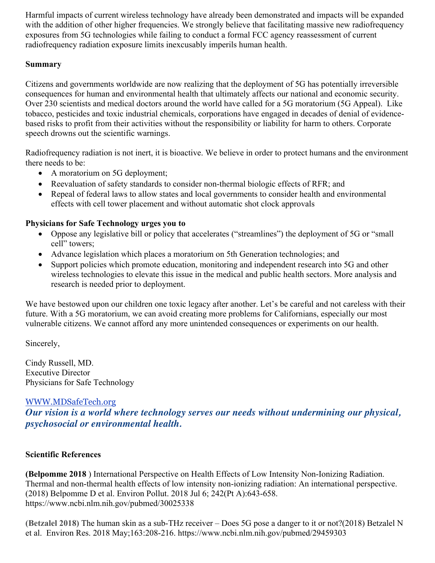Harmful impacts of current wireless technology have already been demonstrated and impacts will be expanded with the addition of other higher frequencies. We strongly believe that facilitating massive new radiofrequency exposures from 5G technologies while failing to conduct a formal FCC agency reassessment of current radiofrequency radiation exposure limits inexcusably imperils human health.

# **Summary**

Citizens and governments worldwide are now realizing that the deployment of 5G has potentially irreversible consequences for human and environmental health that ultimately affects our national and economic security. Over 230 scientists and medical doctors around the world have called for a 5G moratorium (5G Appeal). Like tobacco, pesticides and toxic industrial chemicals, corporations have engaged in decades of denial of evidencebased risks to profit from their activities without the responsibility or liability for harm to others. Corporate speech drowns out the scientific warnings.

Radiofrequency radiation is not inert, it is bioactive. We believe in order to protect humans and the environment there needs to be:

- A moratorium on 5G deployment;
- Reevaluation of safety standards to consider non-thermal biologic effects of RFR; and
- Repeal of federal laws to allow states and local governments to consider health and environmental effects with cell tower placement and without automatic shot clock approvals

#### **Physicians for Safe Technology urges you to**

- Oppose any legislative bill or policy that accelerates ("streamlines") the deployment of 5G or "small cell" towers;
- Advance legislation which places a moratorium on 5th Generation technologies; and
- Support policies which promote education, monitoring and independent research into 5G and other wireless technologies to elevate this issue in the medical and public health sectors. More analysis and research is needed prior to deployment.

We have bestowed upon our children one toxic legacy after another. Let's be careful and not careless with their future. With a 5G moratorium, we can avoid creating more problems for Californians, especially our most vulnerable citizens. We cannot afford any more unintended consequences or experiments on our health.

Sincerely,

Cindy Russell, MD. Executive Director Physicians for Safe Technology

#### WWW.MDSafeTech.org

*Our vision is a world where technology serves our needs without undermining our physical, psychosocial or environmental health.*

#### **Scientific References**

**(Belpomme 2018** ) International Perspective on Health Effects of Low Intensity Non-Ionizing Radiation. Thermal and non-thermal health effects of low intensity non-ionizing radiation: An international perspective. (2018) Belpomme D et al. Environ Pollut. 2018 Jul 6; 242(Pt A):643-658. https://www.ncbi.nlm.nih.gov/pubmed/30025338

**(Betzalel 2018)** The human skin as a sub-THz receiver – Does 5G pose a danger to it or not?(2018) Betzalel N et al. Environ Res. 2018 May;163:208-216. https://www.ncbi.nlm.nih.gov/pubmed/29459303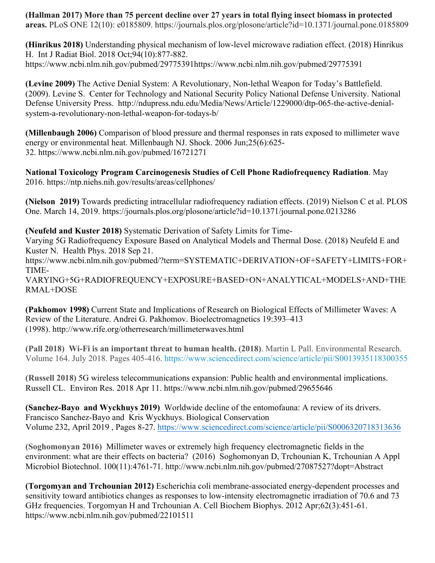**(Hallman 2017) More than 75 percent decline over 27 years in total flying insect biomass in protected areas.** PLoS ONE 12(10): e0185809. https://journals.plos.org/plosone/article?id=10.1371/journal.pone.0185809

**(Hinrikus 2018)** Understanding physical mechanism of low-level microwave radiation effect. (2018) Hinrikus H. Int J Radiat Biol. 2018 Oct;94(10):877-882. https://www.ncbi.nlm.nih.gov/pubmed/29775391https://www.ncbi.nlm.nih.gov/pubmed/29775391

**(Levine 2009)** The Active Denial System: A Revolutionary, Non-lethal Weapon for Today's Battlefield. (2009). Levine S. Center for Technology and National Security Policy National Defense University. National Defense University Press. http://ndupress.ndu.edu/Media/News/Article/1229000/dtp-065-the-active-denialsystem-a-revolutionary-non-lethal-weapon-for-todays-b/

**(Millenbaugh 2006)** Comparison of blood pressure and thermal responses in rats exposed to millimeter wave energy or environmental heat. Millenbaugh NJ. Shock. 2006 Jun;25(6):625- 32. https://www.ncbi.nlm.nih.gov/pubmed/16721271

**National Toxicology Program Carcinogenesis Studies of Cell Phone Radiofrequency Radiation**. May 2016. https://ntp.niehs.nih.gov/results/areas/cellphones/

**(Nielson 2019)** Towards predicting intracellular radiofrequency radiation effects. (2019) Nielson C et al. PLOS One. March 14, 2019. https://journals.plos.org/plosone/article?id=10.1371/journal.pone.0213286

**(Neufeld and Kuster 2018)** Systematic Derivation of Safety Limits for Time-

Varying 5G Radiofrequency Exposure Based on Analytical Models and Thermal Dose. (2018) Neufeld E and Kuster N. Health Phys. 2018 Sep 21.

https://www.ncbi.nlm.nih.gov/pubmed/?term=SYSTEMATIC+DERIVATION+OF+SAFETY+LIMITS+FOR+ TIME-

VARYING+5G+RADIOFREQUENCY+EXPOSURE+BASED+ON+ANALYTICAL+MODELS+AND+THE RMAL+DOSE

**(Pakhomov 1998)** Current State and Implications of Research on Biological Effects of Millimeter Waves: A Review of the Literature. Andrei G. Pakhomov. Bioelectromagnetics 19:393–413 (1998). http://www.rife.org/otherresearch/millimeterwaves.html

**(Pall 2018) Wi-Fi is an important threat to human health. (2018)**. Martin L Pall. Environmental Research. Volume 164. July 2018. Pages 405-416. https://www.sciencedirect.com/science/article/pii/S0013935118300355

**(Russell 2018)** 5G wireless telecommunications expansion: Public health and environmental implications. Russell CL. Environ Res. 2018 Apr 11. https://www.ncbi.nlm.nih.gov/pubmed/29655646

**(Sanchez-Bayo and Wyckhuys 2019)** Worldwide decline of the entomofauna: A review of its drivers. Francisco Sanchez-Bayo and Kris Wyckhuys. Biological Conservation Volume 232, April 2019 , Pages 8-27. https://www.sciencedirect.com/science/article/pii/S0006320718313636

**(Soghomonyan 2016)** Millimeter waves or extremely high frequency electromagnetic fields in the environment: what are their effects on bacteria? (2016) Soghomonyan D, Trchounian K, Trchounian A Appl Microbiol Biotechnol. 100(11):4761-71. http://www.ncbi.nlm.nih.gov/pubmed/27087527?dopt=Abstract

**(Torgomyan and Trchounian 2012)** Escherichia coli membrane-associated energy-dependent processes and sensitivity toward antibiotics changes as responses to low-intensity electromagnetic irradiation of 70.6 and 73 GHz frequencies. Torgomyan H and Trchounian A. Cell Biochem Biophys. 2012 Apr;62(3):451-61. https://www.ncbi.nlm.nih.gov/pubmed/22101511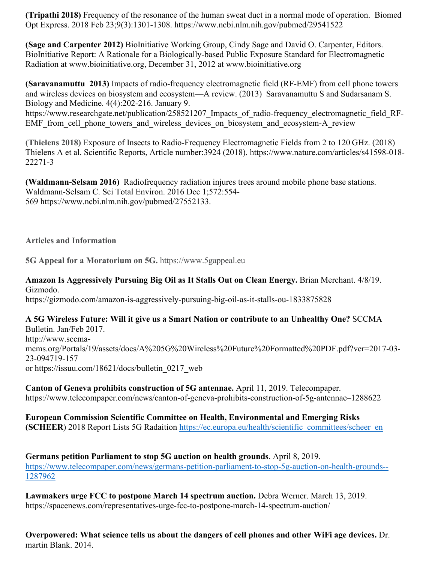**(Tripathi 2018)** Frequency of the resonance of the human sweat duct in a normal mode of operation. Biomed Opt Express. 2018 Feb 23;9(3):1301-1308. https://www.ncbi.nlm.nih.gov/pubmed/29541522

**(Sage and Carpenter 2012)** BioInitiative Working Group, Cindy Sage and David O. Carpenter, Editors. BioInitiative Report: A Rationale for a Biologically-based Public Exposure Standard for Electromagnetic Radiation at www.bioinitiative.org, December 31, 2012 at www.bioinitiative.org

**(Saravanamuttu 2013)** Impacts of radio-frequency electromagnetic field (RF-EMF) from cell phone towers and wireless devices on biosystem and ecosystem—A review. (2013) Saravanamuttu S and Sudarsanam S. Biology and Medicine. 4(4):202-216. January 9.

https://www.researchgate.net/publication/258521207 Impacts of radio-frequency electromagnetic field RF-EMF from cell phone towers and wireless devices on biosystem and ecosystem-A review

**(Thielens 2018)** Exposure of Insects to Radio-Frequency Electromagnetic Fields from 2 to 120 GHz. (2018) Thielens A et al. Scientific Reports, Article number:3924 (2018). https://www.nature.com/articles/s41598-018- 22271-3

**(Waldmann-Selsam 2016)** Radiofrequency radiation injures trees around mobile phone base stations. Waldmann-Selsam C. Sci Total Environ. 2016 Dec 1;572:554- 569 https://www.ncbi.nlm.nih.gov/pubmed/27552133.

#### **Articles and Information**

**5G Appeal for a Moratorium on 5G.** https://www.5gappeal.eu

#### **Amazon Is Aggressively Pursuing Big Oil as It Stalls Out on Clean Energy.** Brian Merchant. 4/8/19. Gizmodo.

https://gizmodo.com/amazon-is-aggressively-pursuing-big-oil-as-it-stalls-ou-1833875828

# **A 5G Wireless Future: Will it give us a Smart Nation or contribute to an Unhealthy One?** SCCMA

Bulletin. Jan/Feb 2017. http://www.sccmamcms.org/Portals/19/assets/docs/A%205G%20Wireless%20Future%20Formatted%20PDF.pdf?ver=2017-03- 23-094719-157 or https://issuu.com/18621/docs/bulletin\_0217\_web

**Canton of Geneva prohibits construction of 5G antennae.** April 11, 2019. Telecompaper. https://www.telecompaper.com/news/canton-of-geneva-prohibits-construction-of-5g-antennae–1288622

**European Commission Scientific Committee on Health, Environmental and Emerging Risks (SCHEER)** 2018 Report Lists 5G Radaition https://ec.europa.eu/health/scientific\_committees/scheer\_en

**Germans petition Parliament to stop 5G auction on health grounds**. April 8, 2019. https://www.telecompaper.com/news/germans-petition-parliament-to-stop-5g-auction-on-health-grounds-- 1287962

**Lawmakers urge FCC to postpone March 14 spectrum auction.** Debra Werner. March 13, 2019. https://spacenews.com/representatives-urge-fcc-to-postpone-march-14-spectrum-auction/

**Overpowered: What science tells us about the dangers of cell phones and other WiFi age devices.** Dr. martin Blank. 2014.